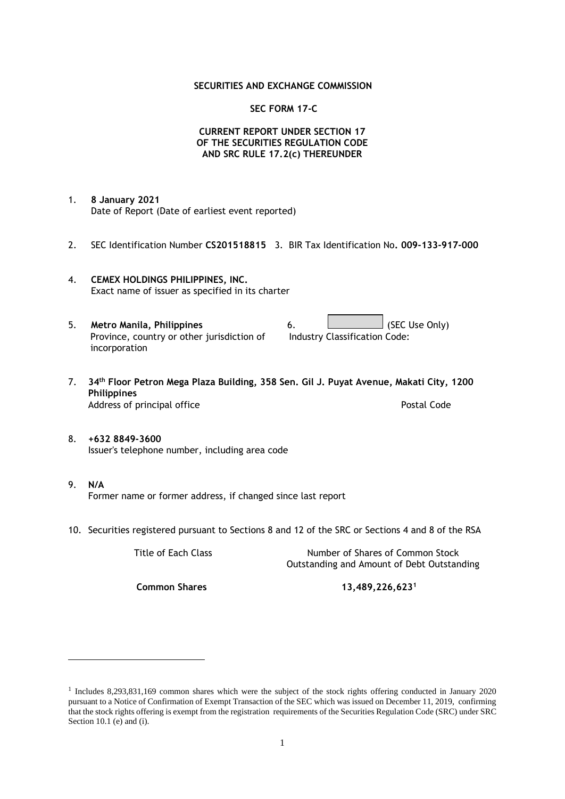#### **SECURITIES AND EXCHANGE COMMISSION**

#### **SEC FORM 17-C**

### **CURRENT REPORT UNDER SECTION 17 OF THE SECURITIES REGULATION CODE AND SRC RULE 17.2(c) THEREUNDER**

- 1. **8 January 2021** Date of Report (Date of earliest event reported)
- 2. SEC Identification Number **CS201518815** 3. BIR Tax Identification No**. 009-133-917-000**
- 4. **CEMEX HOLDINGS PHILIPPINES, INC.** Exact name of issuer as specified in its charter
- 5. **Metro Manila, Philippines** 6. **Consumers 6.** (SEC Use Only) Province, country or other jurisdiction of incorporation Industry Classification Code:
- 7. **34th Floor Petron Mega Plaza Building, 358 Sen. Gil J. Puyat Avenue, Makati City, 1200 Philippines** Address of principal office **Postal Code** Postal Code
- 8. **+632 8849-3600** Issuer's telephone number, including area code
- 9. **N/A** Former name or former address, if changed since last report
- 10. Securities registered pursuant to Sections 8 and 12 of the SRC or Sections 4 and 8 of the RSA

Title of Each Class Number of Shares of Common Stock Outstanding and Amount of Debt Outstanding

**Common Shares 13,489,226,623<sup>1</sup>**

<sup>1</sup> Includes 8,293,831,169 common shares which were the subject of the stock rights offering conducted in January 2020 pursuant to a Notice of Confirmation of Exempt Transaction of the SEC which was issued on December 11, 2019, confirming that the stock rights offering is exempt from the registration requirements of the Securities Regulation Code (SRC) under SRC Section 10.1 (e) and (i).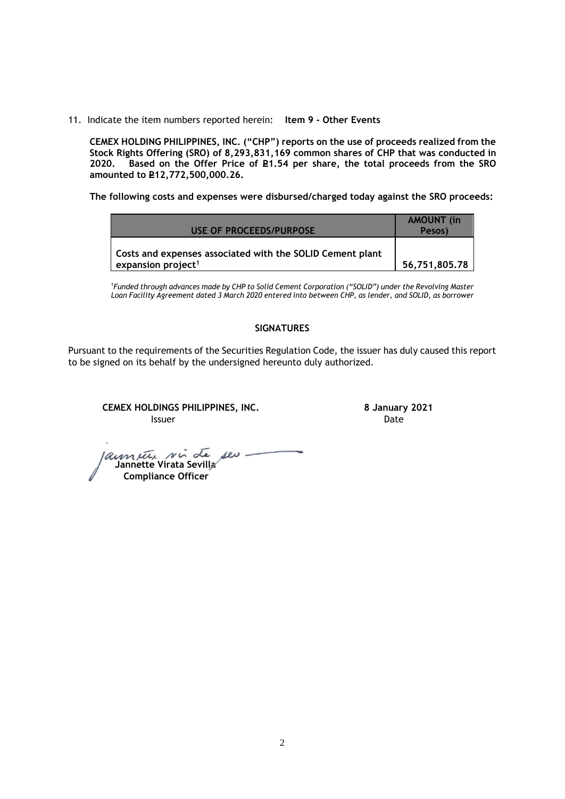11. Indicate the item numbers reported herein: **Item 9 - Other Events**

**CEMEX HOLDING PHILIPPINES, INC. ("CHP") reports on the use of proceeds realized from the Stock Rights Offering (SRO) of 8,293,831,169 common shares of CHP that was conducted in**  Based on the Offer Price of £1.54 per share, the total proceeds from the SRO **amounted to P12,772,500,000.26.** 

**The following costs and expenses were disbursed/charged today against the SRO proceeds:**

| USE OF PROCEEDS/PURPOSE                                                                     | <b>AMOUNT</b> (in<br>Pesos) |
|---------------------------------------------------------------------------------------------|-----------------------------|
| Costs and expenses associated with the SOLID Cement plant<br>expansion project <sup>1</sup> | 56.751.805.78               |

<sup>1</sup>*Funded through advances made by CHP to Solid Cement Corporation ("SOLID") under the Revolving Master Loan Facility Agreement dated 3 March 2020 entered into between CHP, as lender, and SOLID, as borrower*

## **SIGNATURES**

Pursuant to the requirements of the Securities Regulation Code, the issuer has duly caused this report to be signed on its behalf by the undersigned hereunto duly authorized.

**CEMEX HOLDINGS PHILIPPINES, INC. 8 January 2021 Issuer Date** 

 **Jannette Virata Sevilla Compliance Officer**